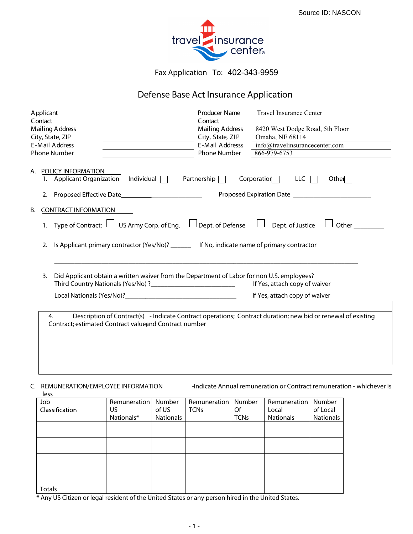

Fax Application To: 402-343-9959

### **Defense Base Act Insurance Application**

|    | A pplicant |                                                                                                                                         | Producer Name       | <b>Travel Insurance Center</b>                                                                               |  |
|----|------------|-----------------------------------------------------------------------------------------------------------------------------------------|---------------------|--------------------------------------------------------------------------------------------------------------|--|
|    | Contact    |                                                                                                                                         | Contact             |                                                                                                              |  |
|    |            | Mailing Address<br><u> 1980 - Johann Barn, mars ann an t-Amhain Aonaich an t-Aonaich an t-Aonaich ann an t-Aonaich ann an t-Aonaich</u> | Mailing Address     | 8420 West Dodge Road, 5th Floor                                                                              |  |
|    |            | City, State, ZIP                                                                                                                        | City, State, ZIP    | Omaha, NE 68114                                                                                              |  |
|    |            | E-Mail Address                                                                                                                          | E-Mail Addresss     | info@travelinsurancecenter.com                                                                               |  |
|    |            | <b>Phone Number</b>                                                                                                                     | <b>Phone Number</b> | 866-979-6753                                                                                                 |  |
|    | 2.         | A. POLICY INFORMATION<br>Individual $\Box$<br>1. Applicant Organization                                                                 | Partnership $\Box$  | Corporation<br>LLC  <br>Other                                                                                |  |
|    |            |                                                                                                                                         |                     |                                                                                                              |  |
| В. |            | <b>CONTRACT INFORMATION</b>                                                                                                             |                     |                                                                                                              |  |
|    |            | 1. Type of Contract: $\Box$ US Army Corp. of Eng. $\Box$ Dept. of Defense $\Box$                                                        |                     | Dept. of Justice<br>Other                                                                                    |  |
|    | 2.         | Is Applicant primary contractor (Yes/No)? ________ If No, indicate name of primary contractor                                           |                     |                                                                                                              |  |
|    | 3.         | Did Applicant obtain a written waiver from the Department of Labor for non U.S. employees?                                              |                     | If Yes, attach copy of waiver                                                                                |  |
|    |            |                                                                                                                                         |                     | If Yes, attach copy of waiver                                                                                |  |
|    | 4.         | Contract; estimated Contract valueand Contract number                                                                                   |                     | Description of Contract(s) - Indicate Contract operations; Contract duration; new bid or renewal of existing |  |

### less

**C. REMUNERATION/EMPLOYEE INFORMATION** -Indicate Annual remuneration or Contract remuneration - whichever is

| iess           |              |           |                     |             |              |                  |
|----------------|--------------|-----------|---------------------|-------------|--------------|------------------|
| Job            | Remuneration | Number    | Remuneration Number |             | Remuneration | Number           |
| Classification | US           | of US     | <b>TCNs</b>         | Of          | Local        | of Local         |
|                | Nationals*   | Nationals |                     | <b>TCNs</b> | Nationals    | <b>Nationals</b> |
|                |              |           |                     |             |              |                  |
|                |              |           |                     |             |              |                  |
|                |              |           |                     |             |              |                  |
|                |              |           |                     |             |              |                  |
|                |              |           |                     |             |              |                  |
|                |              |           |                     |             |              |                  |
|                |              |           |                     |             |              |                  |
|                |              |           |                     |             |              |                  |
| <b>Totals</b>  |              |           |                     |             |              |                  |

\* Any US Citizen or legal resident of the United States or any person hired in the United States.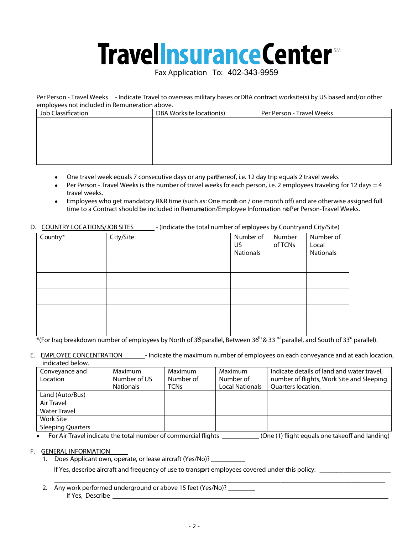# **Travellnsurance Center**

Fax Application To: 402-343-9959

**Per Person - Travel Weeks** - Indicate Travel to overseas military bases orDBA contract worksite(s) by US based and/or other employees not included in Remuneration above.

| Job Classification | DBA Worksite location(s) | Per Person - Travel Weeks |
|--------------------|--------------------------|---------------------------|
|                    |                          |                           |
|                    |                          |                           |
|                    |                          |                           |
|                    |                          |                           |
|                    |                          |                           |
|                    |                          |                           |

- One travel week equals 7 consecutive days or any parthereof, i.e. 12 day trip equals 2 travel weeks  $\bullet$
- Per Person Travel Weeks is the number of travel weeks for each person, i.e. 2 employees traveling for 12 days = 4 travel weeks.
- Employees who get mandatory R&R time (such as: One monh on / one month off) and are otherwise assigned full  $\bullet$ time to a Contract should be included in Remunetion/Employee Information noPer Person-Travel Weeks.

#### **D. COUNTRY LOCATIONS/JOB SITES** - (Indicate the total number of employees by Countryand City/Site)

| $\sim$   |           |                              |                   |                                 |
|----------|-----------|------------------------------|-------------------|---------------------------------|
| Country* | City/Site | Number of<br>US<br>Nationals | Number<br>of TCNs | Number of<br>Local<br>Nationals |
|          |           |                              |                   |                                 |
|          |           |                              |                   |                                 |
|          |           |                              |                   |                                 |
|          |           |                              |                   |                                 |
|          |           |                              |                   |                                 |

\*(For Iraq breakdown number of employees by North of 36 parallel, Between 36<sup>th</sup> & 33 <sup>rd</sup> parallel, and South of 33<sup>d</sup> parallel).

**E. EMPLOYEE CONCENTRATION** - Indicate the maximum number of employees on each conveyance and at each location, indicated below.

| Conveyance and<br>Location | Maximum<br>Number of US<br><b>Nationals</b> | Maximum<br>Number of<br><b>TCNs</b> | Maximum<br>Number of<br><b>Local Nationals</b> | Indicate details of land and water travel,<br>number of flights, Work Site and Sleeping<br>Quarters location. |
|----------------------------|---------------------------------------------|-------------------------------------|------------------------------------------------|---------------------------------------------------------------------------------------------------------------|
| Land (Auto/Bus)            |                                             |                                     |                                                |                                                                                                               |
| Air Travel                 |                                             |                                     |                                                |                                                                                                               |
| <b>Water Travel</b>        |                                             |                                     |                                                |                                                                                                               |
| <b>Work Site</b>           |                                             |                                     |                                                |                                                                                                               |
| <b>Sleeping Quarters</b>   |                                             |                                     |                                                |                                                                                                               |

For Air Travel indicate the total number of commercial flights \_\_\_\_\_\_\_\_\_\_\_ (One (1) flight equals one takeoff and landing)

#### **F. GENERAL INFORMATION**

1. Does Applicant own, operate, or lease aircraft (Yes/No)?

If Yes, describe aircraft and frequency of use to transport employees covered under this policy:

 $\_$  ,  $\_$  ,  $\_$  ,  $\_$  ,  $\_$  ,  $\_$  ,  $\_$  ,  $\_$  ,  $\_$  ,  $\_$  ,  $\_$  ,  $\_$  ,  $\_$  ,  $\_$  ,  $\_$  ,  $\_$  ,  $\_$  ,  $\_$  ,  $\_$  ,  $\_$  ,  $\_$  ,  $\_$  ,  $\_$  ,  $\_$  ,  $\_$  ,  $\_$  ,  $\_$  ,  $\_$  ,  $\_$  ,  $\_$  ,  $\_$  ,  $\_$  ,  $\_$  ,  $\_$  ,  $\_$  ,  $\_$  ,  $\_$  , 2. Any work performed underground or above 15 feet (Yes/No)? If Yes, Describe